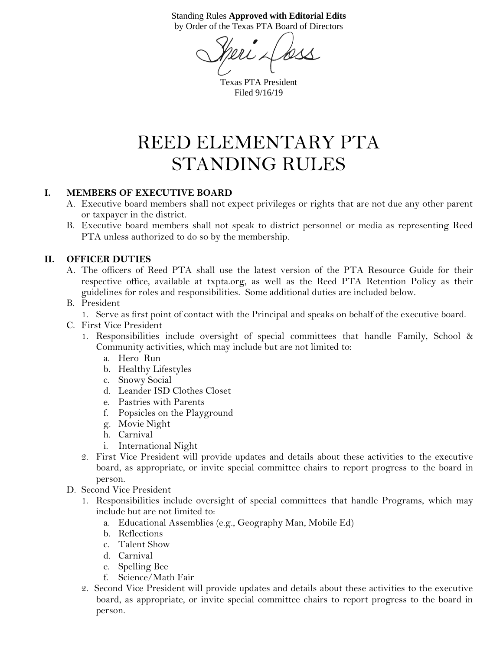Standing Rules **Approved with Editorial Edits** by Order of the Texas PTA Board of Directors

less

Texas PTA President Filed 9/16/19

# REED ELEMENTARY PTA STANDING RULES

#### **I. MEMBERS OF EXECUTIVE BOARD**

- A. Executive board members shall not expect privileges or rights that are not due any other parent or taxpayer in the district.
- B. Executive board members shall not speak to district personnel or media as representing Reed PTA unless authorized to do so by the membership.

#### **II. OFFICER DUTIES**

A. The officers of Reed PTA shall use the latest version of the PTA Resource Guide for their respective office, available at txpta.org, as well as the Reed PTA Retention Policy as their guidelines for roles and responsibilities. Some additional duties are included below.

#### B. President

1. Serve as first point of contact with the Principal and speaks on behalf of the executive board.

- C. First Vice President
	- 1. Responsibilities include oversight of special committees that handle Family, School & Community activities, which may include but are not limited to:
		- a. Hero Run
		- b. Healthy Lifestyles
		- c. Snowy Social
		- d. Leander ISD Clothes Closet
		- e. Pastries with Parents
		- f. Popsicles on the Playground
		- g. Movie Night
		- h. Carnival
		- i. International Night
	- 2. First Vice President will provide updates and details about these activities to the executive board, as appropriate, or invite special committee chairs to report progress to the board in person.
- D. Second Vice President
	- 1. Responsibilities include oversight of special committees that handle Programs, which may include but are not limited to:
		- a. Educational Assemblies (e.g., Geography Man, Mobile Ed)
		- b. Reflections
		- c. Talent Show
		- d. Carnival
		- e. Spelling Bee
		- f. Science/Math Fair
	- 2. Second Vice President will provide updates and details about these activities to the executive board, as appropriate, or invite special committee chairs to report progress to the board in person.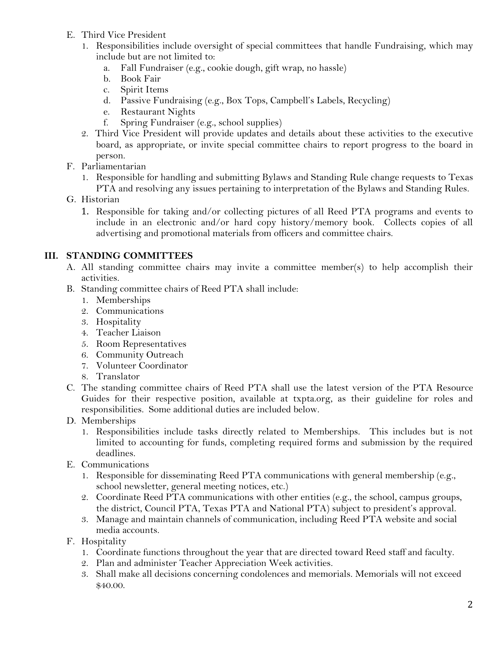- E. Third Vice President
	- 1. Responsibilities include oversight of special committees that handle Fundraising, which may include but are not limited to:
		- a. Fall Fundraiser (e.g., cookie dough, gift wrap, no hassle)
		- b. Book Fair
		- c. Spirit Items
		- d. Passive Fundraising (e.g., Box Tops, Campbell's Labels, Recycling)
		- e. Restaurant Nights
		- f. Spring Fundraiser (e.g., school supplies)
	- 2. Third Vice President will provide updates and details about these activities to the executive board, as appropriate, or invite special committee chairs to report progress to the board in person.
- F. Parliamentarian
	- 1. Responsible for handling and submitting Bylaws and Standing Rule change requests to Texas PTA and resolving any issues pertaining to interpretation of the Bylaws and Standing Rules.
- G. Historian
	- 1. Responsible for taking and/or collecting pictures of all Reed PTA programs and events to include in an electronic and/or hard copy history/memory book. Collects copies of all advertising and promotional materials from officers and committee chairs.

# **III. STANDING COMMITTEES**

- A. All standing committee chairs may invite a committee member(s) to help accomplish their activities.
- B. Standing committee chairs of Reed PTA shall include:
	- 1. Memberships
	- 2. Communications
	- 3. Hospitality
	- 4. Teacher Liaison
	- 5. Room Representatives
	- 6. Community Outreach
	- 7. Volunteer Coordinator
	- 8. Translator
- C. The standing committee chairs of Reed PTA shall use the latest version of the PTA Resource Guides for their respective position, available at txpta.org, as their guideline for roles and responsibilities. Some additional duties are included below.
- D. Memberships
	- 1. Responsibilities include tasks directly related to Memberships. This includes but is not limited to accounting for funds, completing required forms and submission by the required deadlines.
- E. Communications
	- 1. Responsible for disseminating Reed PTA communications with general membership (e.g., school newsletter, general meeting notices, etc.)
	- 2. Coordinate Reed PTA communications with other entities (e.g., the school, campus groups, the district, Council PTA, Texas PTA and National PTA) subject to president's approval.
	- 3. Manage and maintain channels of communication, including Reed PTA website and social media accounts.
- F. Hospitality
	- 1. Coordinate functions throughout the year that are directed toward Reed staff and faculty.
	- 2. Plan and administer Teacher Appreciation Week activities.
	- 3. Shall make all decisions concerning condolences and memorials. Memorials will not exceed \$40.00.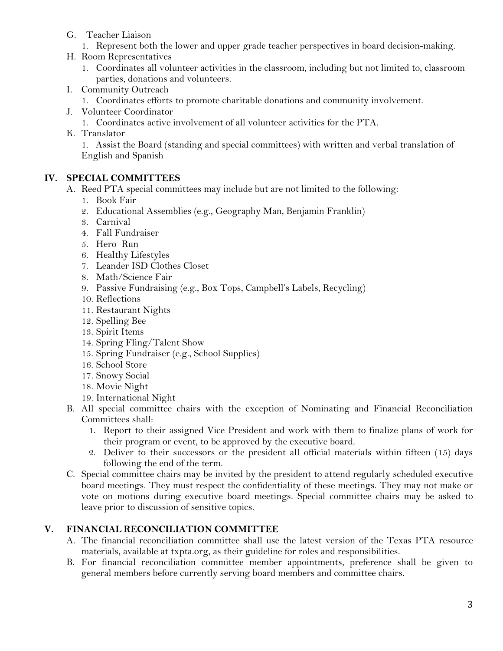- G. Teacher Liaison
	- 1. Represent both the lower and upper grade teacher perspectives in board decision-making.
- H. Room Representatives
	- 1. Coordinates all volunteer activities in the classroom, including but not limited to, classroom parties, donations and volunteers.
- I. Community Outreach
	- 1. Coordinates efforts to promote charitable donations and community involvement.
- J. Volunteer Coordinator
	- 1. Coordinates active involvement of all volunteer activities for the PTA.
- K. Translator

1. Assist the Board (standing and special committees) with written and verbal translation of English and Spanish

#### **IV. SPECIAL COMMITTEES**

- A. Reed PTA special committees may include but are not limited to the following:
	- 1. Book Fair
	- 2. Educational Assemblies (e.g., Geography Man, Benjamin Franklin)
	- 3. Carnival
	- 4. Fall Fundraiser
	- 5. Hero Run
	- 6. Healthy Lifestyles
	- 7. Leander ISD Clothes Closet
	- 8. Math/Science Fair
	- 9. Passive Fundraising (e.g., Box Tops, Campbell's Labels, Recycling)
	- 10. Reflections
	- 11. Restaurant Nights
	- 12. Spelling Bee
	- 13. Spirit Items
	- 14. Spring Fling/Talent Show
	- 15. Spring Fundraiser (e.g., School Supplies)
	- 16. School Store
	- 17. Snowy Social
	- 18. Movie Night
	- 19. International Night
- B. All special committee chairs with the exception of Nominating and Financial Reconciliation Committees shall:
	- 1. Report to their assigned Vice President and work with them to finalize plans of work for their program or event, to be approved by the executive board.
	- 2. Deliver to their successors or the president all official materials within fifteen (15) days following the end of the term.
- C. Special committee chairs may be invited by the president to attend regularly scheduled executive board meetings. They must respect the confidentiality of these meetings. They may not make or vote on motions during executive board meetings. Special committee chairs may be asked to leave prior to discussion of sensitive topics.

#### **V. FINANCIAL RECONCILIATION COMMITTEE**

- A. The financial reconciliation committee shall use the latest version of the Texas PTA resource materials, available at txpta.org, as their guideline for roles and responsibilities.
- B. For financial reconciliation committee member appointments, preference shall be given to general members before currently serving board members and committee chairs.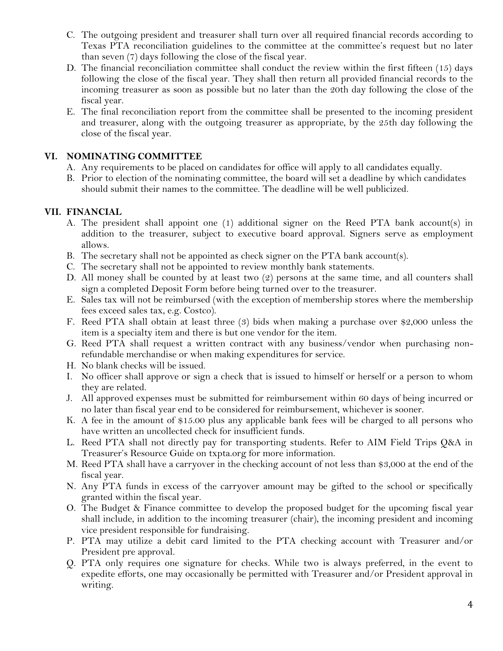- C. The outgoing president and treasurer shall turn over all required financial records according to Texas PTA reconciliation guidelines to the committee at the committee's request but no later than seven (7) days following the close of the fiscal year.
- D. The financial reconciliation committee shall conduct the review within the first fifteen (15) days following the close of the fiscal year. They shall then return all provided financial records to the incoming treasurer as soon as possible but no later than the 20th day following the close of the fiscal year.
- E. The final reconciliation report from the committee shall be presented to the incoming president and treasurer, along with the outgoing treasurer as appropriate, by the 25th day following the close of the fiscal year.

#### **VI. NOMINATING COMMITTEE**

- A. Any requirements to be placed on candidates for office will apply to all candidates equally.
- B. Prior to election of the nominating committee, the board will set a deadline by which candidates should submit their names to the committee. The deadline will be well publicized.

#### **VII. FINANCIAL**

- A. The president shall appoint one  $(1)$  additional signer on the Reed PTA bank account(s) in addition to the treasurer, subject to executive board approval. Signers serve as employment allows.
- B. The secretary shall not be appointed as check signer on the PTA bank account(s).
- C. The secretary shall not be appointed to review monthly bank statements.
- D. All money shall be counted by at least two (2) persons at the same time, and all counters shall sign a completed Deposit Form before being turned over to the treasurer.
- E. Sales tax will not be reimbursed (with the exception of membership stores where the membership fees exceed sales tax, e.g. Costco).
- F. Reed PTA shall obtain at least three (3) bids when making a purchase over \$2,000 unless the item is a specialty item and there is but one vendor for the item.
- G. Reed PTA shall request a written contract with any business/vendor when purchasing nonrefundable merchandise or when making expenditures for service.
- H. No blank checks will be issued.
- I. No officer shall approve or sign a check that is issued to himself or herself or a person to whom they are related.
- J. All approved expenses must be submitted for reimbursement within 60 days of being incurred or no later than fiscal year end to be considered for reimbursement, whichever is sooner.
- K. A fee in the amount of \$15.00 plus any applicable bank fees will be charged to all persons who have written an uncollected check for insufficient funds.
- L. Reed PTA shall not directly pay for transporting students. Refer to AIM Field Trips Q&A in Treasurer's Resource Guide on txpta.org for more information.
- M. Reed PTA shall have a carryover in the checking account of not less than \$3,000 at the end of the fiscal year.
- N. Any PTA funds in excess of the carryover amount may be gifted to the school or specifically granted within the fiscal year.
- O. The Budget & Finance committee to develop the proposed budget for the upcoming fiscal year shall include, in addition to the incoming treasurer (chair), the incoming president and incoming vice president responsible for fundraising.
- P. PTA may utilize a debit card limited to the PTA checking account with Treasurer and/or President pre approval.
- Q. PTA only requires one signature for checks. While two is always preferred, in the event to expedite efforts, one may occasionally be permitted with Treasurer and/or President approval in writing.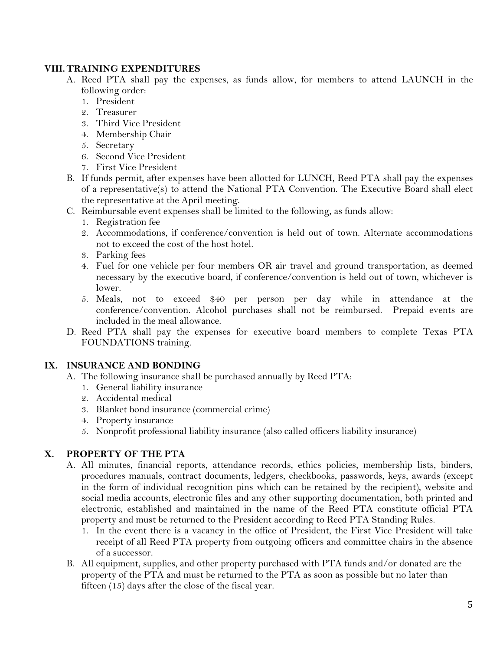#### **VIII. TRAINING EXPENDITURES**

- A. Reed PTA shall pay the expenses, as funds allow, for members to attend LAUNCH in the following order:
	- 1. President
	- 2. Treasurer
	- 3. Third Vice President
	- 4. Membership Chair
	- 5. Secretary
	- 6. Second Vice President
	- 7. First Vice President
- B. If funds permit, after expenses have been allotted for LUNCH, Reed PTA shall pay the expenses of a representative(s) to attend the National PTA Convention. The Executive Board shall elect the representative at the April meeting.
- C. Reimbursable event expenses shall be limited to the following, as funds allow:
	- 1. Registration fee
	- 2. Accommodations, if conference/convention is held out of town. Alternate accommodations not to exceed the cost of the host hotel.
	- 3. Parking fees
	- 4. Fuel for one vehicle per four members OR air travel and ground transportation, as deemed necessary by the executive board, if conference/convention is held out of town, whichever is lower.
	- 5. Meals, not to exceed \$40 per person per day while in attendance at the conference/convention. Alcohol purchases shall not be reimbursed. Prepaid events are included in the meal allowance.
- D. Reed PTA shall pay the expenses for executive board members to complete Texas PTA FOUNDATIONS training.

#### **IX. INSURANCE AND BONDING**

- A. The following insurance shall be purchased annually by Reed PTA:
	- 1. General liability insurance
	- 2. Accidental medical
	- 3. Blanket bond insurance (commercial crime)
	- 4. Property insurance
	- 5. Nonprofit professional liability insurance (also called officers liability insurance)

#### **X. PROPERTY OF THE PTA**

- A. All minutes, financial reports, attendance records, ethics policies, membership lists, binders, procedures manuals, contract documents, ledgers, checkbooks, passwords, keys, awards (except in the form of individual recognition pins which can be retained by the recipient), website and social media accounts, electronic files and any other supporting documentation, both printed and electronic, established and maintained in the name of the Reed PTA constitute official PTA property and must be returned to the President according to Reed PTA Standing Rules.
	- 1. In the event there is a vacancy in the office of President, the First Vice President will take receipt of all Reed PTA property from outgoing officers and committee chairs in the absence of a successor.
- B. All equipment, supplies, and other property purchased with PTA funds and/or donated are the property of the PTA and must be returned to the PTA as soon as possible but no later than fifteen (15) days after the close of the fiscal year.